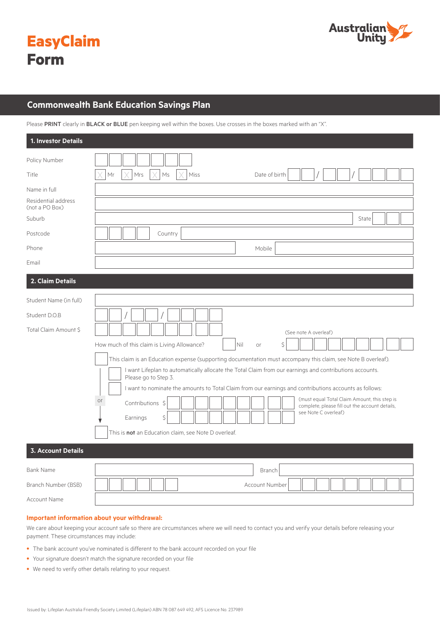



# **Commonwealth Bank Education Savings Plan**

Please PRINT clearly in BLACK or BLUE pen keeping well within the boxes. Use crosses in the boxes marked with an "X".

| 1. Investor Details                   |                                                                                                                                 |
|---------------------------------------|---------------------------------------------------------------------------------------------------------------------------------|
| Policy Number                         |                                                                                                                                 |
| Title                                 | Mr<br>Mrs<br>Ms<br>Miss<br>Date of birth                                                                                        |
| Name in full                          |                                                                                                                                 |
| Residential address<br>(not a PO Box) |                                                                                                                                 |
| Suburb                                | State                                                                                                                           |
| Postcode                              | Country                                                                                                                         |
| Phone                                 | Mobile                                                                                                                          |
| Email                                 |                                                                                                                                 |
| 2. Claim Details                      |                                                                                                                                 |
| Student Name (in full)                |                                                                                                                                 |
| Student D.O.B                         |                                                                                                                                 |
| Total Claim Amount \$                 | (See note A overleaf)                                                                                                           |
|                                       | Nil<br>How much of this claim is Living Allowance?<br>\$<br>or                                                                  |
|                                       | This claim is an Education expense (supporting documentation must accompany this claim, see Note B overleaf).                   |
|                                       | I want Lifeplan to automatically allocate the Total Claim from our earnings and contributions accounts.<br>Please go to Step 3. |
|                                       | I want to nominate the amounts to Total Claim from our earnings and contributions accounts as follows:                          |
|                                       | (must equal Total Claim Amount, this step is<br>or<br>Contributions \$<br>complete, please fill out the account details,        |
|                                       | see Note C overleaf)<br>Earnings<br>Ś.                                                                                          |
|                                       | This is not an Education claim, see Note D overleaf.                                                                            |
| <b>3. Account Details</b>             |                                                                                                                                 |
| <b>Bank Name</b>                      | Branch                                                                                                                          |
| Branch Number (BSB)                   | Account Number                                                                                                                  |
| Account Name                          |                                                                                                                                 |

#### **Important information about your withdrawal:**

We care about keeping your account safe so there are circumstances where we will need to contact you and verify your details before releasing your payment. These circumstances may include:

- The bank account you've nominated is different to the bank account recorded on your file
- Your signature doesn't match the signature recorded on your file
- We need to verify other details relating to your request.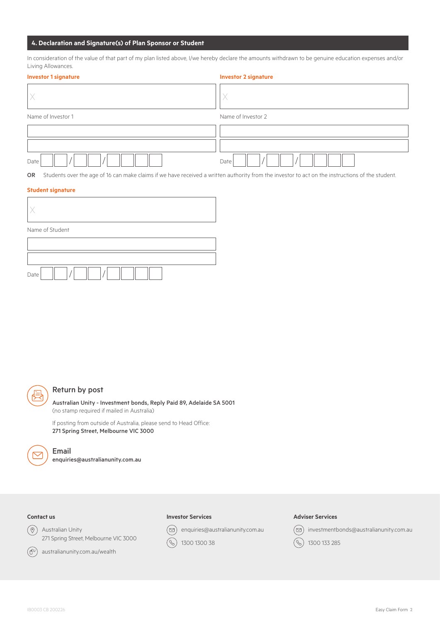# **4. Declaration and Signature(s) of Plan Sponsor or Student**

In consideration of the value of that part of my plan listed above, I/we hereby declare the amounts withdrawn to be genuine education expenses and/or Living Allowances.

| <b>Investor 1 signature</b> | <b>Investor 2 signature</b> |  |  |  |  |  |
|-----------------------------|-----------------------------|--|--|--|--|--|
|                             |                             |  |  |  |  |  |
| Name of Investor 1          | Name of Investor 2          |  |  |  |  |  |
|                             |                             |  |  |  |  |  |
|                             |                             |  |  |  |  |  |
| Date                        | Date                        |  |  |  |  |  |

OR Students over the age of 16 can make claims if we have received a written authority from the investor to act on the instructions of the student.

## **Student signature**

| Name of Student |  |  |  |  |  |
|-----------------|--|--|--|--|--|
|                 |  |  |  |  |  |
|                 |  |  |  |  |  |
| Date            |  |  |  |  |  |



# Return by post

Australian Unity - Investment bonds, Reply Paid 89, Adelaide SA 5001 (no stamp required if mailed in Australia)

If posting from outside of Australia, please send to Head Office: 271 Spring Street, Melbourne VIC 3000



# Email

enquiries@australianunity.com.au

# **Contact us**

 $\circledcirc$ Australian Unity 271 Spring Street, Melbourne VIC 3000



australianunity.com.au/wealth

#### **Investor Services**

enquiries@australianunity.com.au  $(\boxdot)$ 

 $\circledS$ 1300 1300 38

#### **Adviser Services**